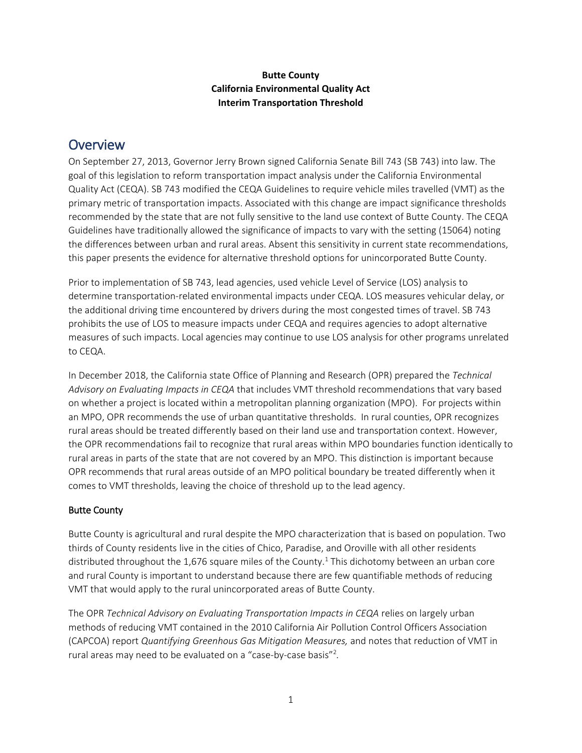### **Butte County California Environmental Quality Act Interim Transportation Threshold**

## **Overview**

On September 27, 2013, Governor Jerry Brown signed California Senate Bill 743 (SB 743) into law. The goal of this legislation to reform transportation impact analysis under the California Environmental Quality Act (CEQA). SB 743 modified the CEQA Guidelines to require vehicle miles travelled (VMT) as the primary metric of transportation impacts. Associated with this change are impact significance thresholds recommended by the state that are not fully sensitive to the land use context of Butte County. The CEQA Guidelines have traditionally allowed the significance of impacts to vary with the setting (15064) noting the differences between urban and rural areas. Absent this sensitivity in current state recommendations, this paper presents the evidence for alternative threshold options for unincorporated Butte County.

Prior to implementation of SB 743, lead agencies, used vehicle Level of Service (LOS) analysis to determine transportation-related environmental impacts under CEQA. LOS measures vehicular delay, or the additional driving time encountered by drivers during the most congested times of travel. SB 743 prohibits the use of LOS to measure impacts under CEQA and requires agencies to adopt alternative measures of such impacts. Local agencies may continue to use LOS analysis for other programs unrelated to CEQA.

In December 2018, the California state Office of Planning and Research (OPR) prepared the *Technical Advisory on Evaluating Impacts in CEQA* that includes VMT threshold recommendations that vary based on whether a project is located within a metropolitan planning organization (MPO). For projects within an MPO, OPR recommends the use of urban quantitative thresholds. In rural counties, OPR recognizes rural areas should be treated differently based on their land use and transportation context. However, the OPR recommendations fail to recognize that rural areas within MPO boundaries function identically to rural areas in parts of the state that are not covered by an MPO. This distinction is important because OPR recommends that rural areas outside of an MPO political boundary be treated differently when it comes to VMT thresholds, leaving the choice of threshold up to the lead agency.

### Butte County

Butte County is agricultural and rural despite the MPO characterization that is based on population. Two thirds of County residents live in the cities of Chico, Paradise, and Oroville with all other residents distributed throughout the 1,676 square miles of the County.<sup>1</sup> This dichotomy between an urban core and rural County is important to understand because there are few quantifiable methods of reducing VMT that would apply to the rural unincorporated areas of Butte County.

The OPR *Technical Advisory on Evaluating Transportation Impacts in CEQA* relies on largely urban methods of reducing VMT contained in the 2010 California Air Pollution Control Officers Association (CAPCOA) report *Quantifying Greenhous Gas Mitigation Measures,* and notes that reduction of VMT in rural areas may need to be evaluated on a "case-by-case basis"<sup>2</sup> *.*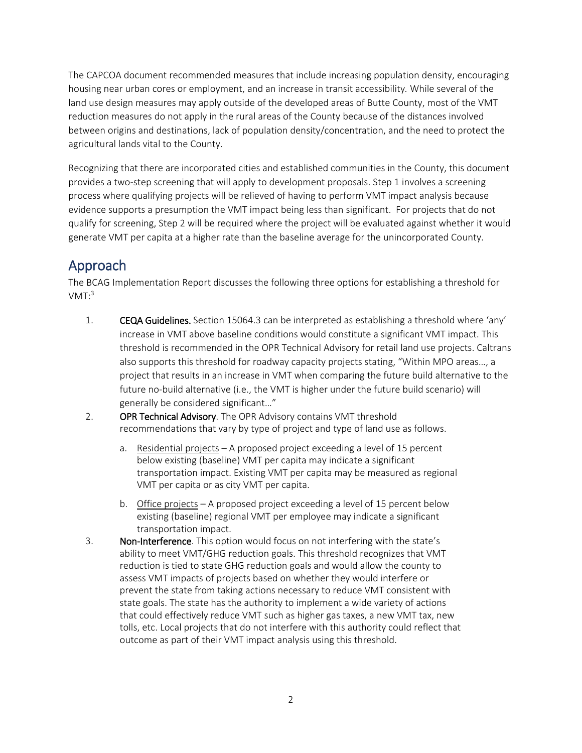The CAPCOA document recommended measures that include increasing population density, encouraging housing near urban cores or employment, and an increase in transit accessibility*.* While several of the land use design measures may apply outside of the developed areas of Butte County, most of the VMT reduction measures do not apply in the rural areas of the County because of the distances involved between origins and destinations, lack of population density/concentration, and the need to protect the agricultural lands vital to the County.

Recognizing that there are incorporated cities and established communities in the County, this document provides a two-step screening that will apply to development proposals. Step 1 involves a screening process where qualifying projects will be relieved of having to perform VMT impact analysis because evidence supports a presumption the VMT impact being less than significant. For projects that do not qualify for screening, Step 2 will be required where the project will be evaluated against whether it would generate VMT per capita at a higher rate than the baseline average for the unincorporated County.

# Approach

The BCAG Implementation Report discusses the following three options for establishing a threshold for  $VMT:3$ 

- 1. CEQA Guidelines. Section 15064.3 can be interpreted as establishing a threshold where 'any' increase in VMT above baseline conditions would constitute a significant VMT impact. This threshold is recommended in the OPR Technical Advisory for retail land use projects. Caltrans also supports this threshold for roadway capacity projects stating, "Within MPO areas…, a project that results in an increase in VMT when comparing the future build alternative to the future no-build alternative (i.e., the VMT is higher under the future build scenario) will generally be considered significant…"
- 2. OPR Technical Advisory. The OPR Advisory contains VMT threshold recommendations that vary by type of project and type of land use as follows.
	- a. Residential projects A proposed project exceeding a level of 15 percent below existing (baseline) VMT per capita may indicate a significant transportation impact. Existing VMT per capita may be measured as regional VMT per capita or as city VMT per capita.
	- b. Office projects A proposed project exceeding a level of 15 percent below existing (baseline) regional VMT per employee may indicate a significant transportation impact.
- 3. Non-Interference. This option would focus on not interfering with the state's ability to meet VMT/GHG reduction goals. This threshold recognizes that VMT reduction is tied to state GHG reduction goals and would allow the county to assess VMT impacts of projects based on whether they would interfere or prevent the state from taking actions necessary to reduce VMT consistent with state goals. The state has the authority to implement a wide variety of actions that could effectively reduce VMT such as higher gas taxes, a new VMT tax, new tolls, etc. Local projects that do not interfere with this authority could reflect that outcome as part of their VMT impact analysis using this threshold.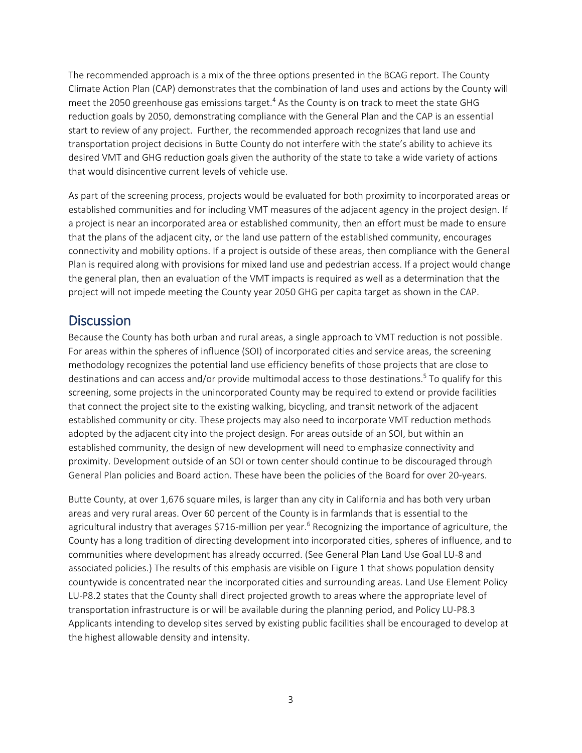The recommended approach is a mix of the three options presented in the BCAG report. The County Climate Action Plan (CAP) demonstrates that the combination of land uses and actions by the County will meet the 2050 greenhouse gas emissions target.<sup>4</sup> As the County is on track to meet the state GHG reduction goals by 2050, demonstrating compliance with the General Plan and the CAP is an essential start to review of any project. Further, the recommended approach recognizes that land use and transportation project decisions in Butte County do not interfere with the state's ability to achieve its desired VMT and GHG reduction goals given the authority of the state to take a wide variety of actions that would disincentive current levels of vehicle use.

As part of the screening process, projects would be evaluated for both proximity to incorporated areas or established communities and for including VMT measures of the adjacent agency in the project design. If a project is near an incorporated area or established community, then an effort must be made to ensure that the plans of the adjacent city, or the land use pattern of the established community, encourages connectivity and mobility options. If a project is outside of these areas, then compliance with the General Plan is required along with provisions for mixed land use and pedestrian access. If a project would change the general plan, then an evaluation of the VMT impacts is required as well as a determination that the project will not impede meeting the County year 2050 GHG per capita target as shown in the CAP.

## **Discussion**

Because the County has both urban and rural areas, a single approach to VMT reduction is not possible. For areas within the spheres of influence (SOI) of incorporated cities and service areas, the screening methodology recognizes the potential land use efficiency benefits of those projects that are close to destinations and can access and/or provide multimodal access to those destinations. 5 To qualify for this screening, some projects in the unincorporated County may be required to extend or provide facilities that connect the project site to the existing walking, bicycling, and transit network of the adjacent established community or city. These projects may also need to incorporate VMT reduction methods adopted by the adjacent city into the project design. For areas outside of an SOI, but within an established community, the design of new development will need to emphasize connectivity and proximity. Development outside of an SOI or town center should continue to be discouraged through General Plan policies and Board action. These have been the policies of the Board for over 20-years.

Butte County, at over 1,676 square miles, is larger than any city in California and has both very urban areas and very rural areas. Over 60 percent of the County is in farmlands that is essential to the agricultural industry that averages \$716-million per year.<sup>6</sup> Recognizing the importance of agriculture, the County has a long tradition of directing development into incorporated cities, spheres of influence, and to communities where development has already occurred. (See General Plan Land Use Goal LU-8 and associated policies.) The results of this emphasis are visible on Figure 1 that shows population density countywide is concentrated near the incorporated cities and surrounding areas. Land Use Element Policy LU-P8.2 states that the County shall direct projected growth to areas where the appropriate level of transportation infrastructure is or will be available during the planning period, and Policy LU-P8.3 Applicants intending to develop sites served by existing public facilities shall be encouraged to develop at the highest allowable density and intensity.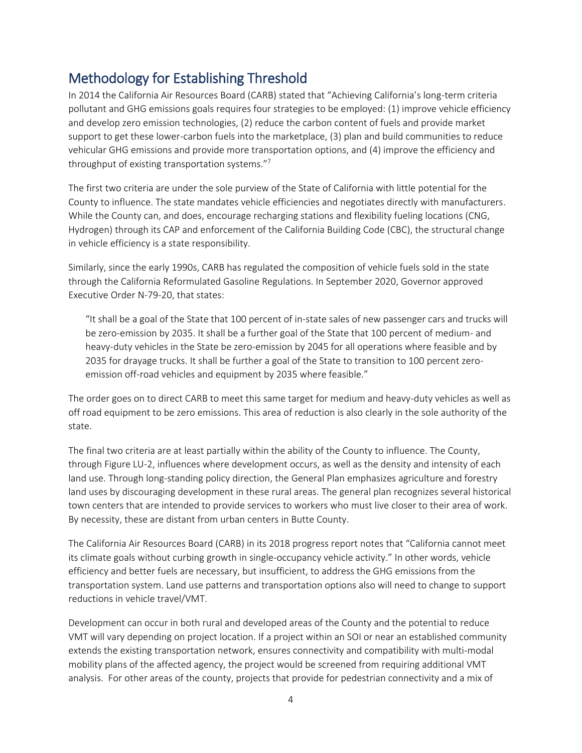# Methodology for Establishing Threshold

In 2014 the California Air Resources Board (CARB) stated that "Achieving California's long-term criteria pollutant and GHG emissions goals requires four strategies to be employed: (1) improve vehicle efficiency and develop zero emission technologies, (2) reduce the carbon content of fuels and provide market support to get these lower-carbon fuels into the marketplace, (3) plan and build communities to reduce vehicular GHG emissions and provide more transportation options, and (4) improve the efficiency and throughput of existing transportation systems."<sup>7</sup>

The first two criteria are under the sole purview of the State of California with little potential for the County to influence. The state mandates vehicle efficiencies and negotiates directly with manufacturers. While the County can, and does, encourage recharging stations and flexibility fueling locations (CNG, Hydrogen) through its CAP and enforcement of the California Building Code (CBC), the structural change in vehicle efficiency is a state responsibility.

Similarly, since the early 1990s, CARB has regulated the composition of vehicle fuels sold in the state through the California Reformulated Gasoline Regulations. In September 2020, Governor approved Executive Order N-79-20, that states:

"It shall be a goal of the State that 100 percent of in-state sales of new passenger cars and trucks will be zero-emission by 2035. It shall be a further goal of the State that 100 percent of medium- and heavy-duty vehicles in the State be zero-emission by 2045 for all operations where feasible and by 2035 for drayage trucks. It shall be further a goal of the State to transition to 100 percent zeroemission off-road vehicles and equipment by 2035 where feasible."

The order goes on to direct CARB to meet this same target for medium and heavy-duty vehicles as well as off road equipment to be zero emissions. This area of reduction is also clearly in the sole authority of the state.

The final two criteria are at least partially within the ability of the County to influence. The County, through Figure LU-2, influences where development occurs, as well as the density and intensity of each land use. Through long-standing policy direction, the General Plan emphasizes agriculture and forestry land uses by discouraging development in these rural areas. The general plan recognizes several historical town centers that are intended to provide services to workers who must live closer to their area of work. By necessity, these are distant from urban centers in Butte County.

The California Air Resources Board (CARB) in its 2018 progress report notes that "California cannot meet its climate goals without curbing growth in single-occupancy vehicle activity." In other words, vehicle efficiency and better fuels are necessary, but insufficient, to address the GHG emissions from the transportation system. Land use patterns and transportation options also will need to change to support reductions in vehicle travel/VMT.

Development can occur in both rural and developed areas of the County and the potential to reduce VMT will vary depending on project location. If a project within an SOI or near an established community extends the existing transportation network, ensures connectivity and compatibility with multi-modal mobility plans of the affected agency, the project would be screened from requiring additional VMT analysis. For other areas of the county, projects that provide for pedestrian connectivity and a mix of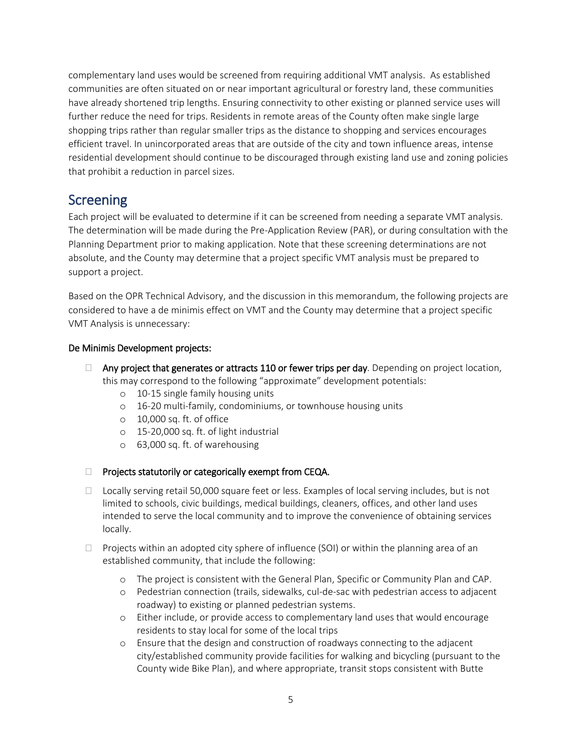complementary land uses would be screened from requiring additional VMT analysis. As established communities are often situated on or near important agricultural or forestry land, these communities have already shortened trip lengths. Ensuring connectivity to other existing or planned service uses will further reduce the need for trips. Residents in remote areas of the County often make single large shopping trips rather than regular smaller trips as the distance to shopping and services encourages efficient travel. In unincorporated areas that are outside of the city and town influence areas, intense residential development should continue to be discouraged through existing land use and zoning policies that prohibit a reduction in parcel sizes.

## **Screening**

Each project will be evaluated to determine if it can be screened from needing a separate VMT analysis. The determination will be made during the Pre-Application Review (PAR), or during consultation with the Planning Department prior to making application. Note that these screening determinations are not absolute, and the County may determine that a project specific VMT analysis must be prepared to support a project.

Based on the OPR Technical Advisory, and the discussion in this memorandum, the following projects are considered to have a de minimis effect on VMT and the County may determine that a project specific VMT Analysis is unnecessary:

#### De Minimis Development projects:

- $\Box$  Any project that generates or attracts 110 or fewer trips per day. Depending on project location, this may correspond to the following "approximate" development potentials:
	- o 10-15 single family housing units
	- o 16-20 multi-family, condominiums, or townhouse housing units
	- o 10,000 sq. ft. of office
	- o 15-20,000 sq. ft. of light industrial
	- o 63,000 sq. ft. of warehousing
- □ Projects statutorily or categorically exempt from CEQA.
- □ Locally serving retail 50,000 square feet or less. Examples of local serving includes, but is not limited to schools, civic buildings, medical buildings, cleaners, offices, and other land uses intended to serve the local community and to improve the convenience of obtaining services locally.
- $\Box$  Projects within an adopted city sphere of influence (SOI) or within the planning area of an established community, that include the following:
	- o The project is consistent with the General Plan, Specific or Community Plan and CAP.
	- o Pedestrian connection (trails, sidewalks, cul-de-sac with pedestrian access to adjacent roadway) to existing or planned pedestrian systems.
	- o Either include, or provide access to complementary land uses that would encourage residents to stay local for some of the local trips
	- o Ensure that the design and construction of roadways connecting to the adjacent city/established community provide facilities for walking and bicycling (pursuant to the County wide Bike Plan), and where appropriate, transit stops consistent with Butte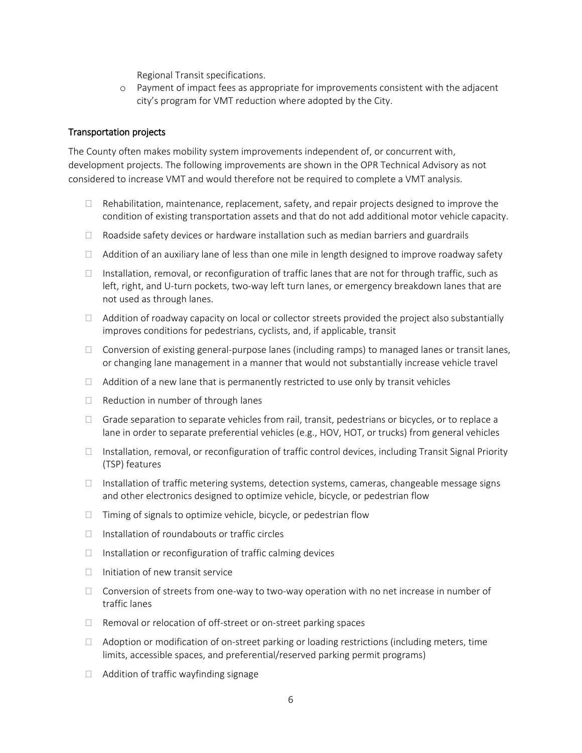Regional Transit specifications.

o Payment of impact fees as appropriate for improvements consistent with the adjacent city's program for VMT reduction where adopted by the City.

#### Transportation projects

The County often makes mobility system improvements independent of, or concurrent with, development projects. The following improvements are shown in the OPR Technical Advisory as not considered to increase VMT and would therefore not be required to complete a VMT analysis.

- $\Box$  Rehabilitation, maintenance, replacement, safety, and repair projects designed to improve the condition of existing transportation assets and that do not add additional motor vehicle capacity.
- $\Box$  Roadside safety devices or hardware installation such as median barriers and guardrails
- $\Box$  Addition of an auxiliary lane of less than one mile in length designed to improve roadway safety
- Installation, removal, or reconfiguration of traffic lanes that are not for through traffic, such as left, right, and U-turn pockets, two-way left turn lanes, or emergency breakdown lanes that are not used as through lanes.
- $\Box$  Addition of roadway capacity on local or collector streets provided the project also substantially improves conditions for pedestrians, cyclists, and, if applicable, transit
- $\Box$  Conversion of existing general-purpose lanes (including ramps) to managed lanes or transit lanes, or changing lane management in a manner that would not substantially increase vehicle travel
- $\Box$  Addition of a new lane that is permanently restricted to use only by transit vehicles
- $\Box$  Reduction in number of through lanes
- $\Box$  Grade separation to separate vehicles from rail, transit, pedestrians or bicycles, or to replace a lane in order to separate preferential vehicles (e.g., HOV, HOT, or trucks) from general vehicles
- $\Box$  Installation, removal, or reconfiguration of traffic control devices, including Transit Signal Priority (TSP) features
- $\Box$  Installation of traffic metering systems, detection systems, cameras, changeable message signs and other electronics designed to optimize vehicle, bicycle, or pedestrian flow
- $\Box$  Timing of signals to optimize vehicle, bicycle, or pedestrian flow
- $\Box$  Installation of roundabouts or traffic circles
- $\Box$  Installation or reconfiguration of traffic calming devices
- $\Box$  Initiation of new transit service
- $\Box$  Conversion of streets from one-way to two-way operation with no net increase in number of traffic lanes
- $\Box$  Removal or relocation of off-street or on-street parking spaces
- $\Box$  Adoption or modification of on-street parking or loading restrictions (including meters, time limits, accessible spaces, and preferential/reserved parking permit programs)
- $\Box$  Addition of traffic wayfinding signage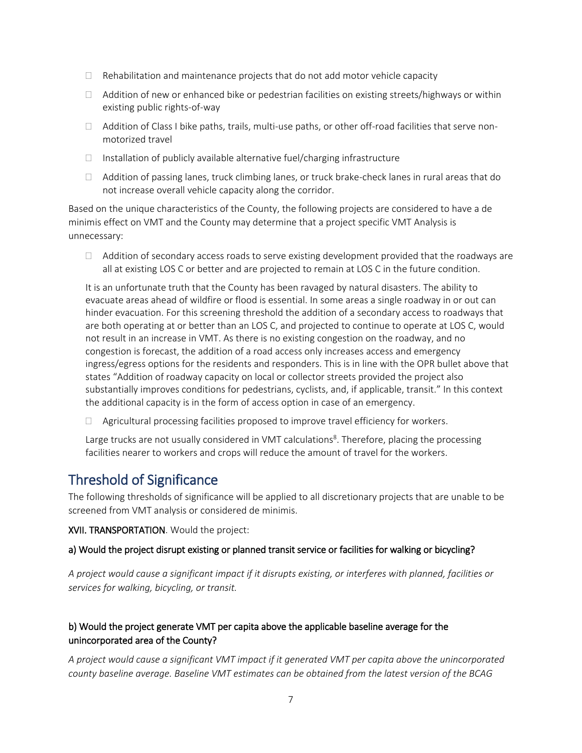- $\Box$  Rehabilitation and maintenance projects that do not add motor vehicle capacity
- $\Box$  Addition of new or enhanced bike or pedestrian facilities on existing streets/highways or within existing public rights-of-way
- $\Box$  Addition of Class I bike paths, trails, multi-use paths, or other off-road facilities that serve nonmotorized travel
- $\Box$  Installation of publicly available alternative fuel/charging infrastructure
- $\Box$  Addition of passing lanes, truck climbing lanes, or truck brake-check lanes in rural areas that do not increase overall vehicle capacity along the corridor.

Based on the unique characteristics of the County, the following projects are considered to have a de minimis effect on VMT and the County may determine that a project specific VMT Analysis is unnecessary:

 $\Box$  Addition of secondary access roads to serve existing development provided that the roadways are all at existing LOS C or better and are projected to remain at LOS C in the future condition.

It is an unfortunate truth that the County has been ravaged by natural disasters. The ability to evacuate areas ahead of wildfire or flood is essential. In some areas a single roadway in or out can hinder evacuation. For this screening threshold the addition of a secondary access to roadways that are both operating at or better than an LOS C, and projected to continue to operate at LOS C, would not result in an increase in VMT. As there is no existing congestion on the roadway, and no congestion is forecast, the addition of a road access only increases access and emergency ingress/egress options for the residents and responders. This is in line with the OPR bullet above that states "Addition of roadway capacity on local or collector streets provided the project also substantially improves conditions for pedestrians, cyclists, and, if applicable, transit." In this context the additional capacity is in the form of access option in case of an emergency.

 $\Box$  Agricultural processing facilities proposed to improve travel efficiency for workers.

Large trucks are not usually considered in VMT calculations<sup>8</sup>. Therefore, placing the processing facilities nearer to workers and crops will reduce the amount of travel for the workers.

## Threshold of Significance

The following thresholds of significance will be applied to all discretionary projects that are unable to be screened from VMT analysis or considered de minimis.

XVII. TRANSPORTATION. Would the project:

#### a) Would the project disrupt existing or planned transit service or facilities for walking or bicycling?

*A project would cause a significant impact if it disrupts existing, or interferes with planned, facilities or services for walking, bicycling, or transit.* 

### b) Would the project generate VMT per capita above the applicable baseline average for the unincorporated area of the County?

*A project would cause a significant VMT impact if it generated VMT per capita above the unincorporated county baseline average. Baseline VMT estimates can be obtained from the latest version of the BCAG*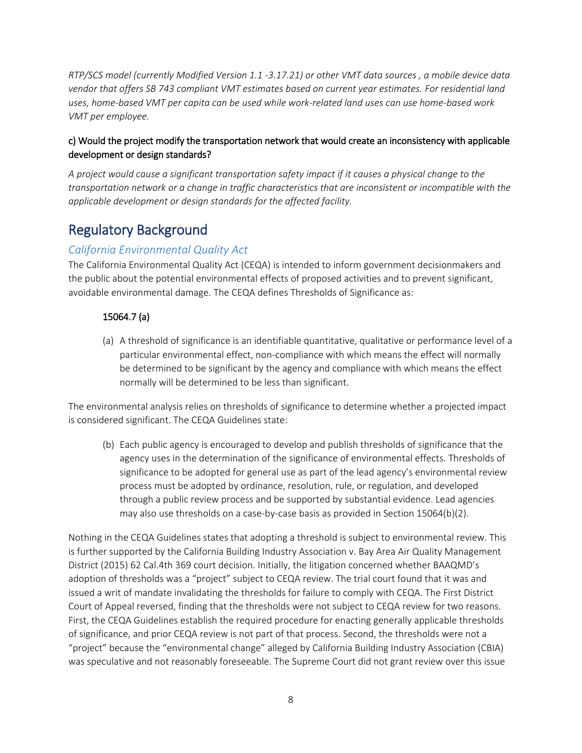*RTP/SCS model (currently Modified Version 1.1 -3.17.21) or other VMT data sources , a mobile device data vendor that offers SB 743 compliant VMT estimates based on current year estimates. For residential land uses, home-based VMT per capita can be used while work-related land uses can use home-based work VMT per employee.* 

#### c) Would the project modify the transportation network that would create an inconsistency with applicable development or design standards?

*A project would cause a significant transportation safety impact if it causes a physical change to the transportation network or a change in traffic characteristics that are inconsistent or incompatible with the applicable development or design standards for the affected facility.*

## Regulatory Background

### *California Environmental Quality Act*

The California Environmental Quality Act (CEQA) is intended to inform government decisionmakers and the public about the potential environmental effects of proposed activities and to prevent significant, avoidable environmental damage. The CEQA defines Thresholds of Significance as:

### 15064.7 (a)

(a) A threshold of significance is an identifiable quantitative, qualitative or performance level of a particular environmental effect, non-compliance with which means the effect will normally be determined to be significant by the agency and compliance with which means the effect normally will be determined to be less than significant.

The environmental analysis relies on thresholds of significance to determine whether a projected impact is considered significant. The CEQA Guidelines state:

(b) Each public agency is encouraged to develop and publish thresholds of significance that the agency uses in the determination of the significance of environmental effects. Thresholds of significance to be adopted for general use as part of the lead agency's environmental review process must be adopted by ordinance, resolution, rule, or regulation, and developed through a public review process and be supported by substantial evidence. Lead agencies may also use thresholds on a case-by-case basis as provided in Section 15064(b)(2).

Nothing in the CEQA Guidelines states that adopting a threshold is subject to environmental review. This is further supported by the California Building Industry Association v. Bay Area Air Quality Management District (2015) 62 Cal.4th 369 court decision. Initially, the litigation concerned whether BAAQMD's adoption of thresholds was a "project" subject to CEQA review. The trial court found that it was and issued a writ of mandate invalidating the thresholds for failure to comply with CEQA. The First District Court of Appeal reversed, finding that the thresholds were not subject to CEQA review for two reasons. First, the CEQA Guidelines establish the required procedure for enacting generally applicable thresholds of significance, and prior CEQA review is not part of that process. Second, the thresholds were not a "project" because the "environmental change" alleged by California Building Industry Association (CBIA) was speculative and not reasonably foreseeable. The Supreme Court did not grant review over this issue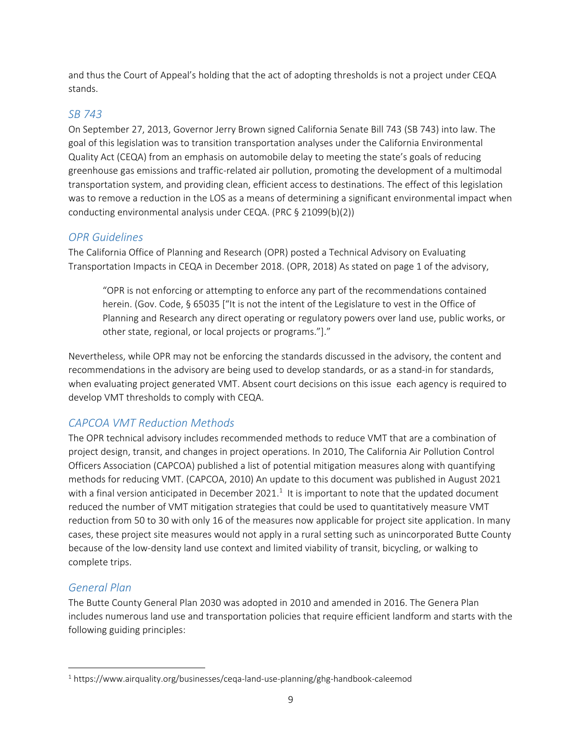and thus the Court of Appeal's holding that the act of adopting thresholds is not a project under CEQA stands.

### *SB 743*

On September 27, 2013, Governor Jerry Brown signed California Senate Bill 743 (SB 743) into law. The goal of this legislation was to transition transportation analyses under the California Environmental Quality Act (CEQA) from an emphasis on automobile delay to meeting the state's goals of reducing greenhouse gas emissions and traffic-related air pollution, promoting the development of a multimodal transportation system, and providing clean, efficient access to destinations. The effect of this legislation was to remove a reduction in the LOS as a means of determining a significant environmental impact when conducting environmental analysis under CEQA. (PRC § 21099(b)(2))

### *OPR Guidelines*

The California Office of Planning and Research (OPR) posted a Technical Advisory on Evaluating Transportation Impacts in CEQA in December 2018. (OPR, 2018) As stated on page 1 of the advisory,

"OPR is not enforcing or attempting to enforce any part of the recommendations contained herein. (Gov. Code, § 65035 ["It is not the intent of the Legislature to vest in the Office of Planning and Research any direct operating or regulatory powers over land use, public works, or other state, regional, or local projects or programs."]."

Nevertheless, while OPR may not be enforcing the standards discussed in the advisory, the content and recommendations in the advisory are being used to develop standards, or as a stand-in for standards, when evaluating project generated VMT. Absent court decisions on this issue each agency is required to develop VMT thresholds to comply with CEQA.

## *CAPCOA VMT Reduction Methods*

The OPR technical advisory includes recommended methods to reduce VMT that are a combination of project design, transit, and changes in project operations. In 2010, The California Air Pollution Control Officers Association (CAPCOA) published a list of potential mitigation measures along with quantifying methods for reducing VMT. (CAPCOA, 2010) An update to this document was published in August 2021 with a final version anticipated in December 2021.<sup>1</sup> It is important to note that the updated document reduced the number of VMT mitigation strategies that could be used to quantitatively measure VMT reduction from 50 to 30 with only 16 of the measures now applicable for project site application. In many cases, these project site measures would not apply in a rural setting such as unincorporated Butte County because of the low-density land use context and limited viability of transit, bicycling, or walking to complete trips.

### *General Plan*

 $\overline{a}$ 

The Butte County General Plan 2030 was adopted in 2010 and amended in 2016. The Genera Plan includes numerous land use and transportation policies that require efficient landform and starts with the following guiding principles:

<sup>&</sup>lt;sup>1</sup> https://www.airquality.org/businesses/ceqa-land-use-planning/ghg-handbook-caleemod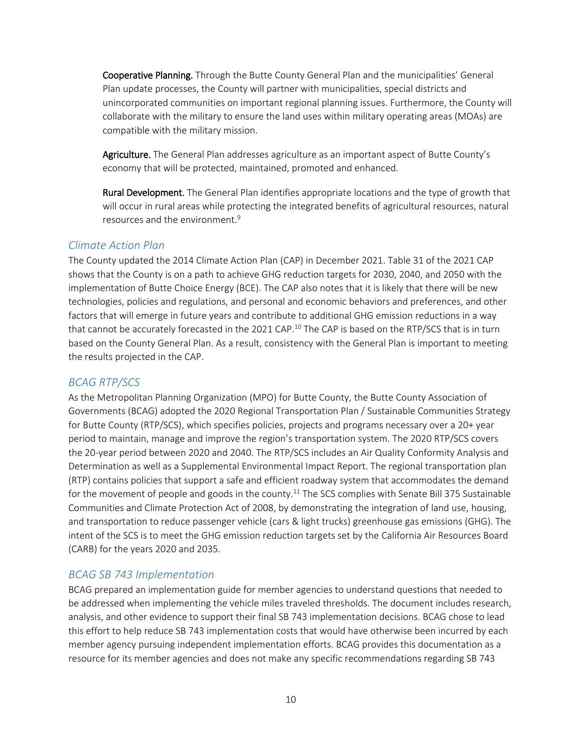Cooperative Planning. Through the Butte County General Plan and the municipalities' General Plan update processes, the County will partner with municipalities, special districts and unincorporated communities on important regional planning issues. Furthermore, the County will collaborate with the military to ensure the land uses within military operating areas (MOAs) are compatible with the military mission.

Agriculture. The General Plan addresses agriculture as an important aspect of Butte County's economy that will be protected, maintained, promoted and enhanced.

Rural Development. The General Plan identifies appropriate locations and the type of growth that will occur in rural areas while protecting the integrated benefits of agricultural resources, natural resources and the environment.<sup>9</sup>

#### *Climate Action Plan*

The County updated the 2014 Climate Action Plan (CAP) in December 2021. Table 31 of the 2021 CAP shows that the County is on a path to achieve GHG reduction targets for 2030, 2040, and 2050 with the implementation of Butte Choice Energy (BCE). The CAP also notes that it is likely that there will be new technologies, policies and regulations, and personal and economic behaviors and preferences, and other factors that will emerge in future years and contribute to additional GHG emission reductions in a way that cannot be accurately forecasted in the 2021 CAP.<sup>10</sup> The CAP is based on the RTP/SCS that is in turn based on the County General Plan. As a result, consistency with the General Plan is important to meeting the results projected in the CAP.

#### *BCAG RTP/SCS*

As the Metropolitan Planning Organization (MPO) for Butte County, the Butte County Association of Governments (BCAG) adopted the 2020 Regional Transportation Plan / Sustainable Communities Strategy for Butte County (RTP/SCS), which specifies policies, projects and programs necessary over a 20+ year period to maintain, manage and improve the region's transportation system. The 2020 RTP/SCS covers the 20-year period between 2020 and 2040. The RTP/SCS includes an Air Quality Conformity Analysis and Determination as well as a Supplemental Environmental Impact Report. The regional transportation plan (RTP) contains policies that support a safe and efficient roadway system that accommodates the demand for the movement of people and goods in the county.<sup>11</sup> The SCS complies with Senate Bill 375 Sustainable Communities and Climate Protection Act of 2008, by demonstrating the integration of land use, housing, and transportation to reduce passenger vehicle (cars & light trucks) greenhouse gas emissions (GHG). The intent of the SCS is to meet the GHG emission reduction targets set by the California Air Resources Board (CARB) for the years 2020 and 2035.

#### *BCAG SB 743 Implementation*

BCAG prepared an implementation guide for member agencies to understand questions that needed to be addressed when implementing the vehicle miles traveled thresholds. The document includes research, analysis, and other evidence to support their final SB 743 implementation decisions. BCAG chose to lead this effort to help reduce SB 743 implementation costs that would have otherwise been incurred by each member agency pursuing independent implementation efforts. BCAG provides this documentation as a resource for its member agencies and does not make any specific recommendations regarding SB 743